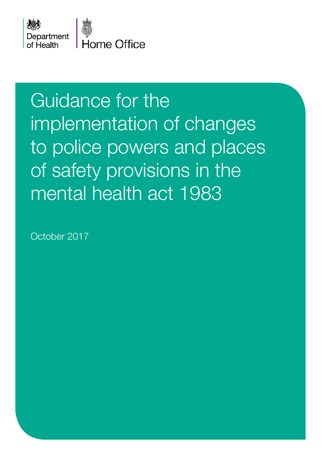



Home Office

# Guidance for the implementation of changes to police powers and places of safety provisions in the mental health act 1983

October 2017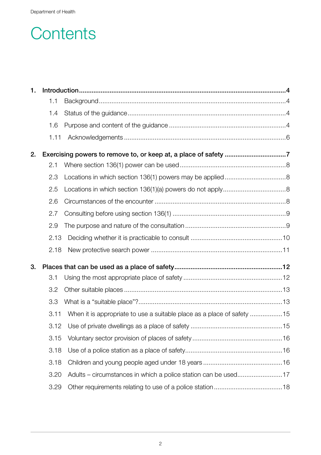### **Contents**

| 1. |      |                                                                        |  |  |  |
|----|------|------------------------------------------------------------------------|--|--|--|
|    | 1.1  |                                                                        |  |  |  |
|    | 1.4  |                                                                        |  |  |  |
|    | 1.6  |                                                                        |  |  |  |
|    | 1.11 |                                                                        |  |  |  |
| 2. |      |                                                                        |  |  |  |
|    | 2.1  |                                                                        |  |  |  |
|    | 2.3  |                                                                        |  |  |  |
|    | 2.5  |                                                                        |  |  |  |
|    | 2.6  |                                                                        |  |  |  |
|    | 2.7  |                                                                        |  |  |  |
|    | 2.9  |                                                                        |  |  |  |
|    | 2.13 |                                                                        |  |  |  |
|    | 2.18 |                                                                        |  |  |  |
| 3. |      |                                                                        |  |  |  |
|    | 3.1  |                                                                        |  |  |  |
|    | 3.2  |                                                                        |  |  |  |
|    | 3.3  |                                                                        |  |  |  |
|    | 3.11 | When it is appropriate to use a suitable place as a place of safety 15 |  |  |  |
|    |      |                                                                        |  |  |  |
|    | 3.15 |                                                                        |  |  |  |
|    | 3.18 |                                                                        |  |  |  |
|    | 3.18 |                                                                        |  |  |  |
|    | 3.20 |                                                                        |  |  |  |
|    | 3.29 |                                                                        |  |  |  |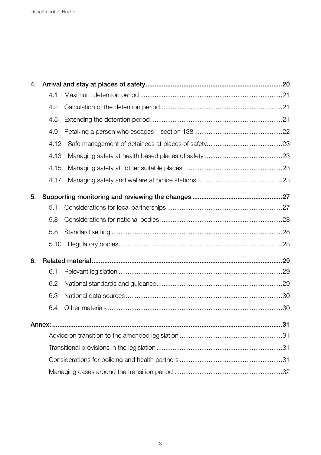| 4. |        |  |  |  |
|----|--------|--|--|--|
|    | 4.1    |  |  |  |
|    | 4.2    |  |  |  |
|    | 4.5    |  |  |  |
|    | 4.9    |  |  |  |
|    | 4.12   |  |  |  |
|    | 4.13   |  |  |  |
|    | 4.15   |  |  |  |
|    | 4.17   |  |  |  |
| 5. |        |  |  |  |
|    | 5.1    |  |  |  |
|    | 5.8    |  |  |  |
|    | 5.8    |  |  |  |
|    | 5.10   |  |  |  |
| 6. |        |  |  |  |
|    | 6.1    |  |  |  |
|    | 6.2    |  |  |  |
|    | 6.3    |  |  |  |
|    | 6.4    |  |  |  |
|    | Annex: |  |  |  |
|    |        |  |  |  |
|    |        |  |  |  |
|    |        |  |  |  |
|    |        |  |  |  |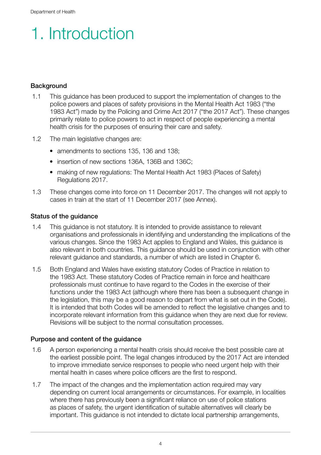## 1. Introduction

### **Background**

- 1.1 This guidance has been produced to support the implementation of changes to the police powers and places of safety provisions in the Mental Health Act 1983 ("the 1983 Act") made by the Policing and Crime Act 2017 ("the 2017 Act"). These changes primarily relate to police powers to act in respect of people experiencing a mental health crisis for the purposes of ensuring their care and safety.
- 1.2 The main legislative changes are:
	- amendments to sections 135, 136 and 138;
	- insertion of new sections 136A, 136B and 136C;
	- making of new regulations: The Mental Health Act 1983 (Places of Safety) Regulations 2017.
- 1.3 These changes come into force on 11 December 2017. The changes will not apply to cases in train at the start of 11 December 2017 (see Annex).

#### Status of the guidance

- 1.4 This guidance is not statutory. It is intended to provide assistance to relevant organisations and professionals in identifying and understanding the implications of the various changes. Since the 1983 Act applies to England and Wales, this guidance is also relevant in both countries. This guidance should be used in conjunction with other relevant guidance and standards, a number of which are listed in Chapter 6.
- 1.5 Both England and Wales have existing statutory Codes of Practice in relation to the 1983 Act. These statutory Codes of Practice remain in force and healthcare professionals must continue to have regard to the Codes in the exercise of their functions under the 1983 Act (although where there has been a subsequent change in the legislation, this may be a good reason to depart from what is set out in the Code). It is intended that both Codes will be amended to reflect the legislative changes and to incorporate relevant information from this guidance when they are next due for review. Revisions will be subject to the normal consultation processes.

### Purpose and content of the guidance

- 1.6 A person experiencing a mental health crisis should receive the best possible care at the earliest possible point. The legal changes introduced by the 2017 Act are intended to improve immediate service responses to people who need urgent help with their mental health in cases where police officers are the first to respond.
- 1.7 The impact of the changes and the implementation action required may vary depending on current local arrangements or circumstances. For example, in localities where there has previously been a significant reliance on use of police stations as places of safety, the urgent identification of suitable alternatives will clearly be important. This guidance is not intended to dictate local partnership arrangements,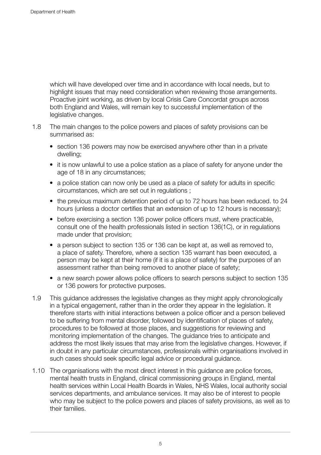which will have developed over time and in accordance with local needs, but to highlight issues that may need consideration when reviewing those arrangements. Proactive joint working, as driven by local Crisis Care Concordat groups across both England and Wales, will remain key to successful implementation of the legislative changes.

- 1.8 The main changes to the police powers and places of safety provisions can be summarised as:
	- section 136 powers may now be exercised anywhere other than in a private dwelling;
	- it is now unlawful to use a police station as a place of safety for anyone under the age of 18 in any circumstances;
	- a police station can now only be used as a place of safety for adults in specific circumstances, which are set out in regulations ;
	- the previous maximum detention period of up to 72 hours has been reduced. to 24 hours (unless a doctor certifies that an extension of up to 12 hours is necessary);
	- before exercising a section 136 power police officers must, where practicable, consult one of the health professionals listed in section 136(1C), or in regulations made under that provision;
	- a person subject to section 135 or 136 can be kept at, as well as removed to, a place of safety. Therefore, where a section 135 warrant has been executed, a person may be kept at their home (if it is a place of safety) for the purposes of an assessment rather than being removed to another place of safety;
	- a new search power allows police officers to search persons subject to section 135 or 136 powers for protective purposes.
- 1.9 This guidance addresses the legislative changes as they might apply chronologically in a typical engagement, rather than in the order they appear in the legislation. It therefore starts with initial interactions between a police officer and a person believed to be suffering from mental disorder, followed by identification of places of safety, procedures to be followed at those places, and suggestions for reviewing and monitoring implementation of the changes. The guidance tries to anticipate and address the most likely issues that may arise from the legislative changes. However, if in doubt in any particular circumstances, professionals within organisations involved in such cases should seek specific legal advice or procedural guidance.
- 1.10 The organisations with the most direct interest in this guidance are police forces, mental health trusts in England, clinical commissioning groups in England, mental health services within Local Health Boards in Wales, NHS Wales, local authority social services departments, and ambulance services. It may also be of interest to people who may be subject to the police powers and places of safety provisions, as well as to their families.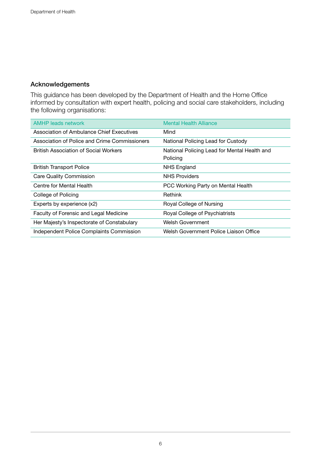### Acknowledgements

This guidance has been developed by the Department of Health and the Home Office informed by consultation with expert health, policing and social care stakeholders, including the following organisations:

| <b>AMHP</b> leads network                     | <b>Mental Health Alliance</b>                            |
|-----------------------------------------------|----------------------------------------------------------|
| Association of Ambulance Chief Executives     | Mind                                                     |
| Association of Police and Crime Commissioners | National Policing Lead for Custody                       |
| <b>British Association of Social Workers</b>  | National Policing Lead for Mental Health and<br>Policing |
| <b>British Transport Police</b>               | NHS England                                              |
| <b>Care Quality Commission</b>                | <b>NHS Providers</b>                                     |
| Centre for Mental Health                      | PCC Working Party on Mental Health                       |
| College of Policing                           | Rethink                                                  |
| Experts by experience (x2)                    | Royal College of Nursing                                 |
| Faculty of Forensic and Legal Medicine        | Royal College of Psychiatrists                           |
| Her Majesty's Inspectorate of Constabulary    | <b>Welsh Government</b>                                  |
| Independent Police Complaints Commission      | Welsh Government Police Liaison Office                   |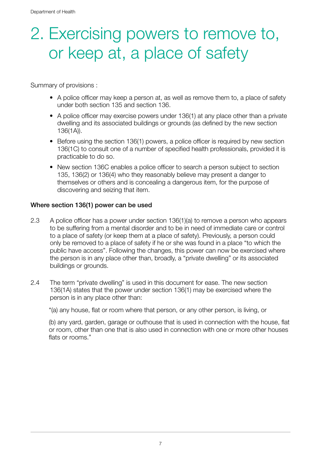### 2. Exercising powers to remove to, or keep at, a place of safety

Summary of provisions :

- A police officer may keep a person at, as well as remove them to, a place of safety under both section 135 and section 136.
- A police officer may exercise powers under 136(1) at any place other than a private dwelling and its associated buildings or grounds (as defined by the new section 136(1A)).
- Before using the section 136(1) powers, a police officer is required by new section 136(1C) to consult one of a number of specified health professionals, provided it is practicable to do so.
- New section 136C enables a police officer to search a person subject to section 135, 136(2) or 136(4) who they reasonably believe may present a danger to themselves or others and is concealing a dangerous item, for the purpose of discovering and seizing that item.

### Where section 136(1) power can be used

- 2.3 A police officer has a power under section 136(1)(a) to remove a person who appears to be suffering from a mental disorder and to be in need of immediate care or control to a place of safety (or keep them at a place of safety). Previously, a person could only be removed to a place of safety if he or she was found in a place "to which the public have access". Following the changes, this power can now be exercised where the person is in any place other than, broadly, a "private dwelling" or its associated buildings or grounds.
- 2.4 The term "private dwelling" is used in this document for ease. The new section 136(1A) states that the power under section 136(1) may be exercised where the person is in any place other than:

"(a) any house, flat or room where that person, or any other person, is living, or

(b) any yard, garden, garage or outhouse that is used in connection with the house, flat or room, other than one that is also used in connection with one or more other houses flats or rooms."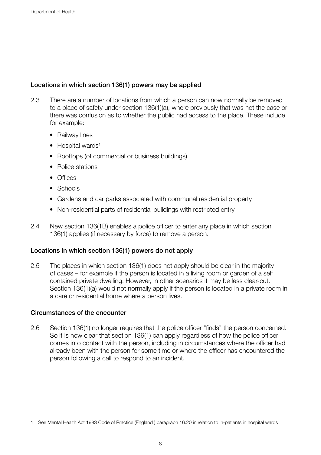### Locations in which section 136(1) powers may be applied

- 2.3 There are a number of locations from which a person can now normally be removed to a place of safety under section 136(1)(a), where previously that was not the case or there was confusion as to whether the public had access to the place. These include for example:
	- Railway lines
	- $\bullet$  Hospital wards<sup>1</sup>
	- Rooftops (of commercial or business buildings)
	- Police stations
	- Offices
	- Schools
	- Gardens and car parks associated with communal residential property
	- Non-residential parts of residential buildings with restricted entry
- 2.4 New section 136(1B) enables a police officer to enter any place in which section 136(1) applies (if necessary by force) to remove a person.

### Locations in which section 136(1) powers do not apply

2.5 The places in which section 136(1) does not apply should be clear in the majority of cases – for example if the person is located in a living room or garden of a self contained private dwelling. However, in other scenarios it may be less clear-cut. Section 136(1)(a) would not normally apply if the person is located in a private room in a care or residential home where a person lives.

### Circumstances of the encounter

2.6 Section 136(1) no longer requires that the police officer "finds" the person concerned. So it is now clear that section 136(1) can apply regardless of how the police officer comes into contact with the person, including in circumstances where the officer had already been with the person for some time or where the officer has encountered the person following a call to respond to an incident.

<sup>1</sup> See Mental Health Act 1983 Code of Practice (England ) paragraph 16.20 in relation to in-patients in hospital wards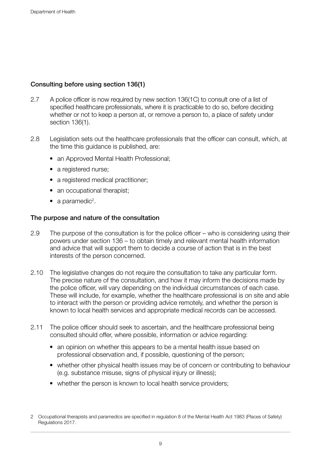### Consulting before using section 136(1)

- 2.7 A police officer is now required by new section 136(1C) to consult one of a list of specified healthcare professionals, where it is practicable to do so, before deciding whether or not to keep a person at, or remove a person to, a place of safety under section 136(1).
- 2.8 Legislation sets out the healthcare professionals that the officer can consult, which, at the time this guidance is published, are:
	- an Approved Mental Health Professional;
	- a registered nurse:
	- a registered medical practitioner;
	- an occupational therapist;
	- a paramedic<sup>2</sup>.

### The purpose and nature of the consultation

- 2.9 The purpose of the consultation is for the police officer who is considering using their powers under section 136 – to obtain timely and relevant mental health information and advice that will support them to decide a course of action that is in the best interests of the person concerned.
- 2.10 The legislative changes do not require the consultation to take any particular form. The precise nature of the consultation, and how it may inform the decisions made by the police officer, will vary depending on the individual circumstances of each case. These will include, for example, whether the healthcare professional is on site and able to interact with the person or providing advice remotely, and whether the person is known to local health services and appropriate medical records can be accessed.
- 2.11 The police officer should seek to ascertain, and the healthcare professional being consulted should offer, where possible, information or advice regarding:
	- an opinion on whether this appears to be a mental health issue based on professional observation and, if possible, questioning of the person;
	- whether other physical health issues may be of concern or contributing to behaviour (e.g. substance misuse, signs of physical injury or illness);
	- whether the person is known to local health service providers;

<sup>2</sup> Occupational therapists and paramedics are specified in regulation 8 of the Mental Health Act 1983 (Places of Safety) Regulations 2017.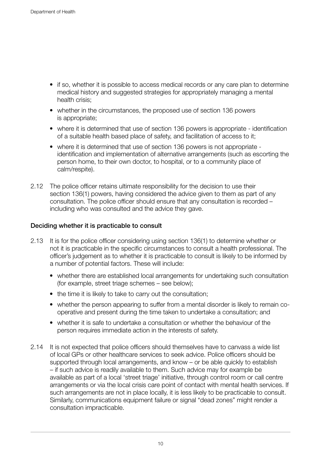- if so, whether it is possible to access medical records or any care plan to determine medical history and suggested strategies for appropriately managing a mental health crisis;
- whether in the circumstances, the proposed use of section 136 powers is appropriate;
- where it is determined that use of section 136 powers is appropriate identification of a suitable health based place of safety, and facilitation of access to it;
- where it is determined that use of section 136 powers is not appropriate identification and implementation of alternative arrangements (such as escorting the person home, to their own doctor, to hospital, or to a community place of calm/respite).
- 2.12 The police officer retains ultimate responsibility for the decision to use their section 136(1) powers, having considered the advice given to them as part of any consultation. The police officer should ensure that any consultation is recorded – including who was consulted and the advice they gave.

### Deciding whether it is practicable to consult

- 2.13 It is for the police officer considering using section 136(1) to determine whether or not it is practicable in the specific circumstances to consult a health professional. The officer's judgement as to whether it is practicable to consult is likely to be informed by a number of potential factors. These will include:
	- whether there are established local arrangements for undertaking such consultation (for example, street triage schemes – see below);
	- the time it is likely to take to carry out the consultation;
	- whether the person appearing to suffer from a mental disorder is likely to remain cooperative and present during the time taken to undertake a consultation; and
	- whether it is safe to undertake a consultation or whether the behaviour of the person requires immediate action in the interests of safety.
- 2.14 It is not expected that police officers should themselves have to canvass a wide list of local GPs or other healthcare services to seek advice. Police officers should be supported through local arrangements, and know – or be able quickly to establish – if such advice is readily available to them. Such advice may for example be available as part of a local 'street triage' initiative, through control room or call centre arrangements or via the local crisis care point of contact with mental health services. If such arrangements are not in place locally, it is less likely to be practicable to consult. Similarly, communications equipment failure or signal "dead zones" might render a consultation impracticable.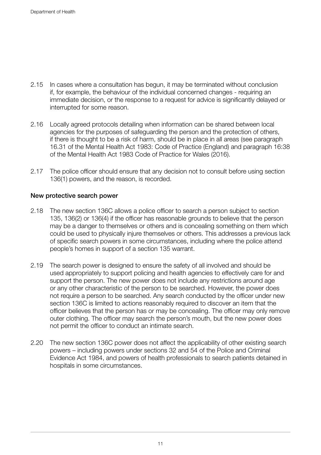- 2.15 In cases where a consultation has begun, it may be terminated without conclusion if, for example, the behaviour of the individual concerned changes - requiring an immediate decision, or the response to a request for advice is significantly delayed or interrupted for some reason.
- 2.16 Locally agreed protocols detailing when information can be shared between local agencies for the purposes of safeguarding the person and the protection of others, if there is thought to be a risk of harm, should be in place in all areas (see paragraph 16.31 of the Mental Health Act 1983: Code of Practice (England) and paragraph 16:38 of the Mental Health Act 1983 Code of Practice for Wales (2016).
- 2.17 The police officer should ensure that any decision not to consult before using section 136(1) powers, and the reason, is recorded.

### New protective search power

- 2.18 The new section 136C allows a police officer to search a person subject to section 135, 136(2) or 136(4) if the officer has reasonable grounds to believe that the person may be a danger to themselves or others and is concealing something on them which could be used to physically injure themselves or others. This addresses a previous lack of specific search powers in some circumstances, including where the police attend people's homes in support of a section 135 warrant.
- 2.19 The search power is designed to ensure the safety of all involved and should be used appropriately to support policing and health agencies to effectively care for and support the person. The new power does not include any restrictions around age or any other characteristic of the person to be searched. However, the power does not require a person to be searched. Any search conducted by the officer under new section 136C is limited to actions reasonably required to discover an item that the officer believes that the person has or may be concealing. The officer may only remove outer clothing. The officer may search the person's mouth, but the new power does not permit the officer to conduct an intimate search.
- 2.20 The new section 136C power does not affect the applicability of other existing search powers – including powers under sections 32 and 54 of the Police and Criminal Evidence Act 1984, and powers of health professionals to search patients detained in hospitals in some circumstances.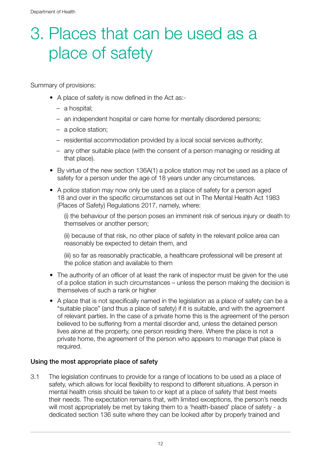## 3. Places that can be used as a place of safety

Summary of provisions:

- A place of safety is now defined in the Act as:-
	- a hospital;
	- an independent hospital or care home for mentally disordered persons;
	- a police station;
	- residential accommodation provided by a local social services authority;
	- any other suitable place (with the consent of a person managing or residing at that place).
- By virtue of the new section 136A(1) a police station may not be used as a place of safety for a person under the age of 18 years under any circumstances.
- A police station may now only be used as a place of safety for a person aged 18 and over in the specific circumstances set out in The Mental Health Act 1983 (Places of Safety) Regulations 2017, namely, where:

(i) the behaviour of the person poses an imminent risk of serious injury or death to themselves or another person;

(ii) because of that risk, no other place of safety in the relevant police area can reasonably be expected to detain them, and

(iii) so far as reasonably practicable, a healthcare professional will be present at the police station and available to them

- The authority of an officer of at least the rank of inspector must be given for the use of a police station in such circumstances – unless the person making the decision is themselves of such a rank or higher
- A place that is not specifically named in the legislation as a place of safety can be a "suitable place" (and thus a place of safety) if it is suitable, and with the agreement of relevant parties. In the case of a private home this is the agreement of the person believed to be suffering from a mental disorder and, unless the detained person lives alone at the property, one person residing there. Where the place is not a private home, the agreement of the person who appears to manage that place is required.

### Using the most appropriate place of safety

3.1 The legislation continues to provide for a range of locations to be used as a place of safety, which allows for local flexibility to respond to different situations. A person in mental health crisis should be taken to or kept at a place of safety that best meets their needs. The expectation remains that, with limited exceptions, the person's needs will most appropriately be met by taking them to a 'health-based' place of safety - a dedicated section 136 suite where they can be looked after by properly trained and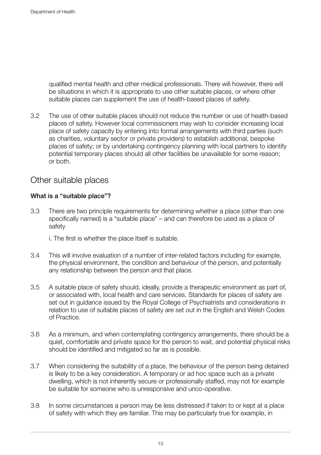qualified mental health and other medical professionals. There will however, there will be situations in which it is appropriate to use other suitable places, or where other suitable places can supplement the use of health-based places of safety.

3.2 The use of other suitable places should not reduce the number or use of health-based places of safety. However local commissioners may wish to consider increasing local place of safety capacity by entering into formal arrangements with third parties (such as charities, voluntary sector or private providers) to establish additional, bespoke places of safety; or by undertaking contingency planning with local partners to identify potential temporary places should all other facilities be unavailable for some reason; or both.

### Other suitable places

### What is a "suitable place"?

- 3.3 There are two principle requirements for determining whether a place (other than one specifically named) is a "suitable place" – and can therefore be used as a place of safety
	- i. The first is whether the place itself is suitable.
- 3.4 This will involve evaluation of a number of inter-related factors including for example, the physical environment, the condition and behaviour of the person, and potentially any relationship between the person and that place.
- 3.5 A suitable place of safety should, ideally, provide a therapeutic environment as part of, or associated with, local health and care services. Standards for places of safety are set out in guidance issued by the Royal College of Psychiatrists and considerations in relation to use of suitable places of safety are set out in the English and Welsh Codes of Practice.
- 3.6 As a minimum, and when contemplating contingency arrangements, there should be a quiet, comfortable and private space for the person to wait, and potential physical risks should be identified and mitigated so far as is possible.
- 3.7 When considering the suitability of a place, the behaviour of the person being detained is likely to be a key consideration. A temporary or ad hoc space such as a private dwelling, which is not inherently secure or professionally staffed, may not for example be suitable for someone who is unresponsive and unco-operative.
- 3.8 In some circumstances a person may be less distressed if taken to or kept at a place of safety with which they are familiar. This may be particularly true for example, in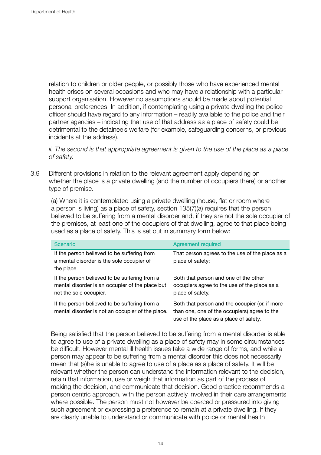relation to children or older people, or possibly those who have experienced mental health crises on several occasions and who may have a relationship with a particular support organisation. However no assumptions should be made about potential personal preferences. In addition, if contemplating using a private dwelling the police officer should have regard to any information – readily available to the police and their partner agencies – indicating that use of that address as a place of safety could be detrimental to the detainee's welfare (for example, safeguarding concerns, or previous incidents at the address).

*ii. The second is that appropriate agreement is given to the use of the place as a place of safety.* 

3.9 Different provisions in relation to the relevant agreement apply depending on whether the place is a private dwelling (and the number of occupiers there) or another type of premise.

(a) Where it is contemplated using a private dwelling (house, flat or room where a person is living) as a place of safety, section 135(7)(a) requires that the person believed to be suffering from a mental disorder and, if they are not the sole occupier of the premises, at least one of the occupiers of that dwelling, agree to that place being used as a place of safety. This is set out in summary form below:

| Scenario                                                                                                                   | Agreement required                                                                                                                       |
|----------------------------------------------------------------------------------------------------------------------------|------------------------------------------------------------------------------------------------------------------------------------------|
| If the person believed to be suffering from<br>a mental disorder is the sole occupier of<br>the place.                     | That person agrees to the use of the place as a<br>place of safety;                                                                      |
| If the person believed to be suffering from a<br>mental disorder is an occupier of the place but<br>not the sole occupier. | Both that person and one of the other<br>occupiers agree to the use of the place as a<br>place of safety.                                |
| If the person believed to be suffering from a<br>mental disorder is not an occupier of the place.                          | Both that person and the occupier (or, if more<br>than one, one of the occupiers) agree to the<br>use of the place as a place of safety. |

Being satisfied that the person believed to be suffering from a mental disorder is able to agree to use of a private dwelling as a place of safety may in some circumstances be difficult. However mental ill health issues take a wide range of forms, and while a person may appear to be suffering from a mental disorder this does not necessarily mean that (s)he is unable to agree to use of a place as a place of safety. It will be relevant whether the person can understand the information relevant to the decision, retain that information, use or weigh that information as part of the process of making the decision, and communicate that decision. Good practice recommends a person centric approach, with the person actively involved in their care arrangements where possible. The person must not however be coerced or pressured into giving such agreement or expressing a preference to remain at a private dwelling. If they are clearly unable to understand or communicate with police or mental health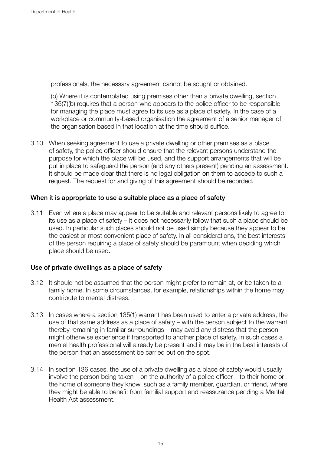professionals, the necessary agreement cannot be sought or obtained.

(b) Where it is contemplated using premises other than a private dwelling, section 135(7)(b) requires that a person who appears to the police officer to be responsible for managing the place must agree to its use as a place of safety. In the case of a workplace or community-based organisation the agreement of a senior manager of the organisation based in that location at the time should suffice.

3.10 When seeking agreement to use a private dwelling or other premises as a place of safety, the police officer should ensure that the relevant persons understand the purpose for which the place will be used, and the support arrangements that will be put in place to safeguard the person (and any others present) pending an assessment. It should be made clear that there is no legal obligation on them to accede to such a request. The request for and giving of this agreement should be recorded.

### When it is appropriate to use a suitable place as a place of safety

3.11 Even where a place may appear to be suitable and relevant persons likely to agree to its use as a place of safety – it does not necessarily follow that such a place should be used. In particular such places should not be used simply because they appear to be the easiest or most convenient place of safety. In all considerations, the best interests of the person requiring a place of safety should be paramount when deciding which place should be used.

### Use of private dwellings as a place of safety

- 3.12 It should not be assumed that the person might prefer to remain at, or be taken to a family home. In some circumstances, for example, relationships within the home may contribute to mental distress.
- 3.13 In cases where a section 135(1) warrant has been used to enter a private address, the use of that same address as a place of safety – with the person subject to the warrant thereby remaining in familiar surroundings – may avoid any distress that the person might otherwise experience if transported to another place of safety. In such cases a mental health professional will already be present and it may be in the best interests of the person that an assessment be carried out on the spot.
- 3.14 In section 136 cases, the use of a private dwelling as a place of safety would usually involve the person being taken – on the authority of a police officer – to their home or the home of someone they know, such as a family member, guardian, or friend, where they might be able to benefit from familial support and reassurance pending a Mental Health Act assessment.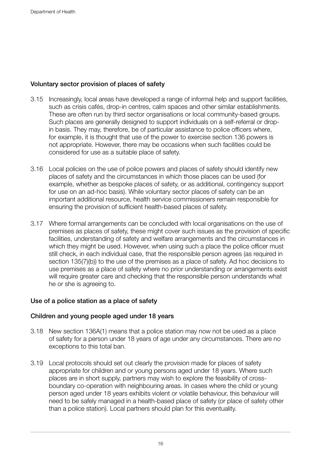### Voluntary sector provision of places of safety

- 3.15 Increasingly, local areas have developed a range of informal help and support facilities, such as crisis cafés, drop-in centres, calm spaces and other similar establishments. These are often run by third sector organisations or local community-based groups. Such places are generally designed to support individuals on a self-referral or dropin basis. They may, therefore, be of particular assistance to police officers where, for example, it is thought that use of the power to exercise section 136 powers is not appropriate. However, there may be occasions when such facilities could be considered for use as a suitable place of safety.
- 3.16 Local policies on the use of police powers and places of safety should identify new places of safety and the circumstances in which those places can be used (for example, whether as bespoke places of safety, or as additional, contingency support for use on an ad-hoc basis). While voluntary sector places of safety can be an important additional resource, health service commissioners remain responsible for ensuring the provision of sufficient health-based places of safety.
- 3.17 Where formal arrangements can be concluded with local organisations on the use of premises as places of safety, these might cover such issues as the provision of specific facilities, understanding of safety and welfare arrangements and the circumstances in which they might be used. However, when using such a place the police officer must still check, in each individual case, that the responsible person agrees (as required in section 135(7)(b)) to the use of the premises as a place of safety. Ad hoc decisions to use premises as a place of safety where no prior understanding or arrangements exist will require greater care and checking that the responsible person understands what he or she is agreeing to.

### Use of a police station as a place of safety

### Children and young people aged under 18 years

- 3.18 New section 136A(1) means that a police station may now not be used as a place of safety for a person under 18 years of age under any circumstances. There are no exceptions to this total ban.
- 3.19 Local protocols should set out clearly the provision made for places of safety appropriate for children and or young persons aged under 18 years. Where such places are in short supply, partners may wish to explore the feasibility of crossboundary co-operation with neighbouring areas. In cases where the child or young person aged under 18 years exhibits violent or volatile behaviour, this behaviour will need to be safely managed in a health-based place of safety (or place of safety other than a police station). Local partners should plan for this eventuality.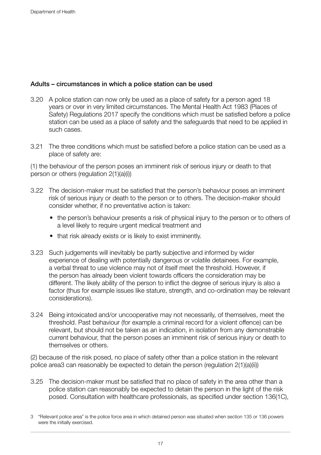### Adults – circumstances in which a police station can be used

- 3.20 A police station can now only be used as a place of safety for a person aged 18 years or over in very limited circumstances. The Mental Health Act 1983 (Places of Safety) Regulations 2017 specify the conditions which must be satisfied before a police station can be used as a place of safety and the safeguards that need to be applied in such cases.
- 3.21 The three conditions which must be satisfied before a police station can be used as a place of safety are:

(1) the behaviour of the person poses an imminent risk of serious injury or death to that person or others (regulation 2(1)(a)(i))

- 3.22 The decision-maker must be satisfied that the person's behaviour poses an imminent risk of serious injury or death to the person or to others. The decision-maker should consider whether, if no preventative action is taken:
	- the person's behaviour presents a risk of physical injury to the person or to others of a level likely to require urgent medical treatment and
	- that risk already exists or is likely to exist imminently.
- 3.23 Such judgements will inevitably be partly subjective and informed by wider experience of dealing with potentially dangerous or volatile detainees. For example, a verbal threat to use violence may not of itself meet the threshold. However, if the person has already been violent towards officers the consideration may be different. The likely ability of the person to inflict the degree of serious injury is also a factor (thus for example issues like stature, strength, and co-ordination may be relevant considerations).
- 3.24 Being intoxicated and/or uncooperative may not necessarily, of themselves, meet the threshold. Past behaviour (for example a criminal record for a violent offence) can be relevant, but should not be taken as an indication, in isolation from any demonstrable current behaviour, that the person poses an imminent risk of serious injury or death to themselves or others.

(2) because of the risk posed, no place of safety other than a police station in the relevant police area3 can reasonably be expected to detain the person (regulation 2(1)(a)(ii))

3.25 The decision-maker must be satisfied that no place of safety in the area other than a police station can reasonably be expected to detain the person in the light of the risk posed. Consultation with healthcare professionals, as specified under section 136(1C),

<sup>3</sup> "Relevant police area" is the police force area in which detained person was situated when section 135 or 136 powers were the initially exercised.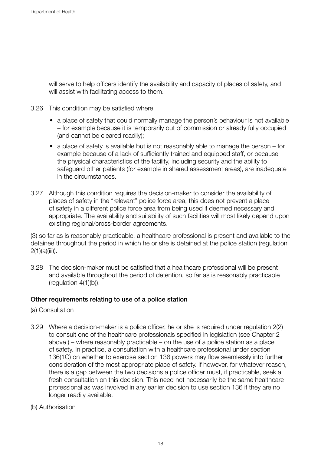will serve to help officers identify the availability and capacity of places of safety, and will assist with facilitating access to them.

- 3.26 This condition may be satisfied where:
	- a place of safety that could normally manage the person's behaviour is not available – for example because it is temporarily out of commission or already fully occupied (and cannot be cleared readily);
	- a place of safety is available but is not reasonably able to manage the person for example because of a lack of sufficiently trained and equipped staff, or because the physical characteristics of the facility, including security and the ability to safeguard other patients (for example in shared assessment areas), are inadequate in the circumstances.
- 3.27 Although this condition requires the decision-maker to consider the availability of places of safety in the "relevant" police force area, this does not prevent a place of safety in a different police force area from being used if deemed necessary and appropriate. The availability and suitability of such facilities will most likely depend upon existing regional/cross-border agreements.

(3) so far as is reasonably practicable, a healthcare professional is present and available to the detainee throughout the period in which he or she is detained at the police station (regulation  $2(1)(a)(iii)$ .

3.28 The decision-maker must be satisfied that a healthcare professional will be present and available throughout the period of detention, so far as is reasonably practicable (regulation 4(1)(b)).

### Other requirements relating to use of a police station

- (a) Consultation
- 3.29 Where a decision-maker is a police officer, he or she is required under regulation 2(2) to consult one of the healthcare professionals specified in legislation (see Chapter 2 above ) – where reasonably practicable – on the use of a police station as a place of safety. In practice, a consultation with a healthcare professional under section 136(1C) on whether to exercise section 136 powers may flow seamlessly into further consideration of the most appropriate place of safety. If however, for whatever reason, there is a gap between the two decisions a police officer must, if practicable, seek a fresh consultation on this decision. This need not necessarily be the same healthcare professional as was involved in any earlier decision to use section 136 if they are no longer readily available.
- (b) Authorisation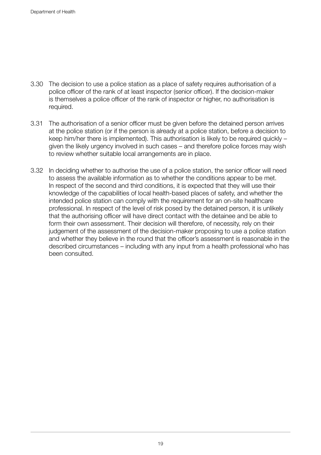- 3.30 The decision to use a police station as a place of safety requires authorisation of a police officer of the rank of at least inspector (senior officer). If the decision-maker is themselves a police officer of the rank of inspector or higher, no authorisation is required.
- 3.31 The authorisation of a senior officer must be given before the detained person arrives at the police station (or if the person is already at a police station, before a decision to keep him/her there is implemented). This authorisation is likely to be required quickly – given the likely urgency involved in such cases – and therefore police forces may wish to review whether suitable local arrangements are in place.
- 3.32 In deciding whether to authorise the use of a police station, the senior officer will need to assess the available information as to whether the conditions appear to be met. In respect of the second and third conditions, it is expected that they will use their knowledge of the capabilities of local health-based places of safety, and whether the intended police station can comply with the requirement for an on-site healthcare professional. In respect of the level of risk posed by the detained person, it is unlikely that the authorising officer will have direct contact with the detainee and be able to form their own assessment. Their decision will therefore, of necessity, rely on their judgement of the assessment of the decision-maker proposing to use a police station and whether they believe in the round that the officer's assessment is reasonable in the described circumstances – including with any input from a health professional who has been consulted.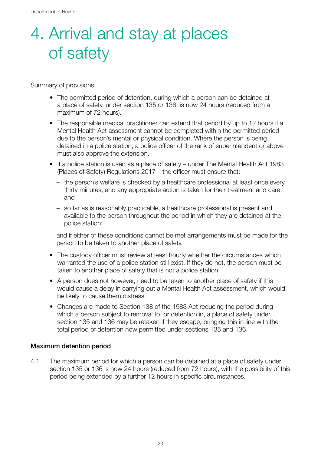## 4. Arrival and stay at places of safety

Summary of provisions:

- The permitted period of detention, during which a person can be detained at a place of safety, under section 135 or 136, is now 24 hours (reduced from a maximum of 72 hours).
- The responsible medical practitioner can extend that period by up to 12 hours if a Mental Health Act assessment cannot be completed within the permitted period due to the person's mental or physical condition. Where the person is being detained in a police station, a police officer of the rank of superintendent or above must also approve the extension.
- If a police station is used as a place of safety under The Mental Health Act 1983 (Places of Safety) Regulations 2017 – the officer must ensure that:
	- the person's welfare is checked by a healthcare professional at least once every thirty minutes, and any appropriate action is taken for their treatment and care; and
	- so far as is reasonably practicable, a healthcare professional is present and available to the person throughout the period in which they are detained at the police station;

and if either of these conditions cannot be met arrangements must be made for the person to be taken to another place of safety.

- The custody officer must review at least hourly whether the circumstances which warranted the use of a police station still exist. If they do not, the person must be taken to another place of safety that is not a police station.
- A person does not however, need to be taken to another place of safety if this would cause a delay in carrying out a Mental Health Act assessment, which would be likely to cause them distress.
- Changes are made to Section 138 of the 1983 Act reducing the period during which a person subject to removal to, or detention in, a place of safety under section 135 and 136 may be retaken if they escape, bringing this in line with the total period of detention now permitted under sections 135 and 136.

### Maximum detention period

4.1 The maximum period for which a person can be detained at a place of safety under section 135 or 136 is now 24 hours (reduced from 72 hours), with the possibility of this period being extended by a further 12 hours in specific circumstances.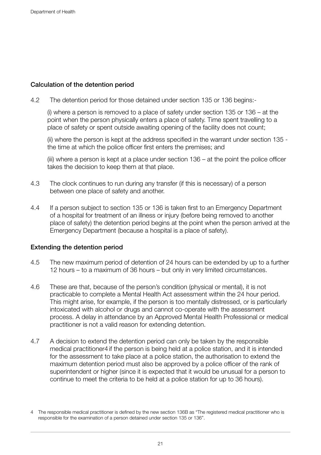### Calculation of the detention period

4.2 The detention period for those detained under section 135 or 136 begins:-

(i) where a person is removed to a place of safety under section 135 or 136 – at the point when the person physically enters a place of safety. Time spent travelling to a place of safety or spent outside awaiting opening of the facility does not count;

(ii) where the person is kept at the address specified in the warrant under section 135 the time at which the police officer first enters the premises; and

(iii) where a person is kept at a place under section 136 – at the point the police officer takes the decision to keep them at that place.

- 4.3 The clock continues to run during any transfer (if this is necessary) of a person between one place of safety and another.
- 4.4 If a person subject to section 135 or 136 is taken first to an Emergency Department of a hospital for treatment of an illness or injury (before being removed to another place of safety) the detention period begins at the point when the person arrived at the Emergency Department (because a hospital is a place of safety).

### Extending the detention period

- 4.5 The new maximum period of detention of 24 hours can be extended by up to a further 12 hours – to a maximum of 36 hours – but only in very limited circumstances.
- 4.6 These are that, because of the person's condition (physical or mental), it is not practicable to complete a Mental Health Act assessment within the 24 hour period. This might arise, for example, if the person is too mentally distressed, or is particularly intoxicated with alcohol or drugs and cannot co-operate with the assessment process. A delay in attendance by an Approved Mental Health Professional or medical practitioner is not a valid reason for extending detention.
- 4.7 A decision to extend the detention period can only be taken by the responsible medical practitioner4 if the person is being held at a police station, and it is intended for the assessment to take place at a police station, the authorisation to extend the maximum detention period must also be approved by a police officer of the rank of superintendent or higher (since it is expected that it would be unusual for a person to continue to meet the criteria to be held at a police station for up to 36 hours).

<sup>4</sup> The responsible medical practitioner is defined by the new section 136B as "The registered medical practitioner who is responsible for the examination of a person detained under section 135 or 136".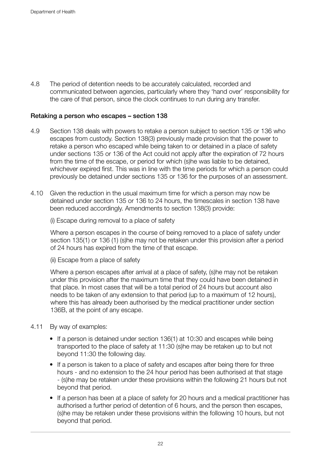4.8 The period of detention needs to be accurately calculated, recorded and communicated between agencies, particularly where they 'hand over' responsibility for the care of that person, since the clock continues to run during any transfer.

### Retaking a person who escapes – section 138

- 4.9 Section 138 deals with powers to retake a person subject to section 135 or 136 who escapes from custody. Section 138(3) previously made provision that the power to retake a person who escaped while being taken to or detained in a place of safety under sections 135 or 136 of the Act could not apply after the expiration of 72 hours from the time of the escape, or period for which (s)he was liable to be detained, whichever expired first. This was in line with the time periods for which a person could previously be detained under sections 135 or 136 for the purposes of an assessment.
- 4.10 Given the reduction in the usual maximum time for which a person may now be detained under section 135 or 136 to 24 hours, the timescales in section 138 have been reduced accordingly. Amendments to section 138(3) provide:

(i) Escape during removal to a place of safety

Where a person escapes in the course of being removed to a place of safety under section 135(1) or 136 (1) (s)he may not be retaken under this provision after a period of 24 hours has expired from the time of that escape.

(ii) Escape from a place of safety

Where a person escapes after arrival at a place of safety, (s)he may not be retaken under this provision after the maximum time that they could have been detained in that place. In most cases that will be a total period of 24 hours but account also needs to be taken of any extension to that period (up to a maximum of 12 hours), where this has already been authorised by the medical practitioner under section 136B, at the point of any escape.

- 4.11 By way of examples:
	- If a person is detained under section 136(1) at 10:30 and escapes while being transported to the place of safety at 11:30 (s)he may be retaken up to but not beyond 11:30 the following day.
	- If a person is taken to a place of safety and escapes after being there for three hours - and no extension to the 24 hour period has been authorised at that stage - (s)he may be retaken under these provisions within the following 21 hours but not beyond that period.
	- If a person has been at a place of safety for 20 hours and a medical practitioner has authorised a further period of detention of 6 hours, and the person then escapes, (s)he may be retaken under these provisions within the following 10 hours, but not beyond that period.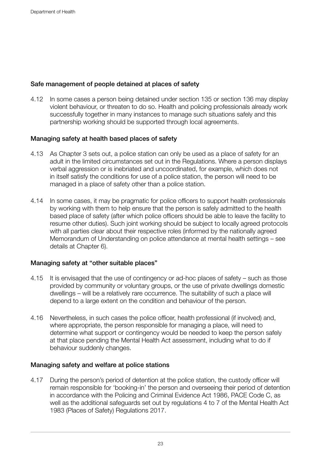### Safe management of people detained at places of safety

4.12 In some cases a person being detained under section 135 or section 136 may display violent behaviour, or threaten to do so. Health and policing professionals already work successfully together in many instances to manage such situations safely and this partnership working should be supported through local agreements.

### Managing safety at health based places of safety

- 4.13 As Chapter 3 sets out, a police station can only be used as a place of safety for an adult in the limited circumstances set out in the Regulations. Where a person displays verbal aggression or is inebriated and uncoordinated, for example, which does not in itself satisfy the conditions for use of a police station, the person will need to be managed in a place of safety other than a police station.
- 4.14 In some cases, it may be pragmatic for police officers to support health professionals by working with them to help ensure that the person is safely admitted to the health based place of safety (after which police officers should be able to leave the facility to resume other duties). Such joint working should be subject to locally agreed protocols with all parties clear about their respective roles (informed by the nationally agreed Memorandum of Understanding on police attendance at mental health settings – see details at Chapter 6).

### Managing safety at "other suitable places"

- 4.15 It is envisaged that the use of contingency or ad-hoc places of safety such as those provided by community or voluntary groups, or the use of private dwellings domestic dwellings – will be a relatively rare occurrence. The suitability of such a place will depend to a large extent on the condition and behaviour of the person.
- 4.16 Nevertheless, in such cases the police officer, health professional (if involved) and, where appropriate, the person responsible for managing a place, will need to determine what support or contingency would be needed to keep the person safely at that place pending the Mental Health Act assessment, including what to do if behaviour suddenly changes.

### Managing safety and welfare at police stations

4.17 During the person's period of detention at the police station, the custody officer will remain responsible for 'booking-in' the person and overseeing their period of detention in accordance with the Policing and Criminal Evidence Act 1986, PACE Code C, as well as the additional safeguards set out by regulations 4 to 7 of the Mental Health Act 1983 (Places of Safety) Regulations 2017.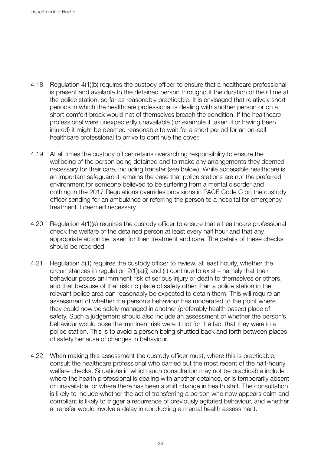- 4.18 Regulation 4(1)(b) requires the custody officer to ensure that a healthcare professional is present and available to the detained person throughout the duration of their time at the police station, so far as reasonably practicable. It is envisaged that relatively short periods in which the healthcare professional is dealing with another person or on a short comfort break would not of themselves breach the condition. If the healthcare professional were unexpectedly unavailable (for example if taken ill or having been injured) it might be deemed reasonable to wait for a short period for an on-call healthcare professional to arrive to continue the cover.
- 4.19 At all times the custody officer retains overarching responsibility to ensure the wellbeing of the person being detained and to make any arrangements they deemed necessary for their care, including transfer (see below). While accessible healthcare is an important safeguard it remains the case that police stations are not the preferred environment for someone believed to be suffering from a mental disorder and nothing in the 2017 Regulations overrides provisions in PACE Code C on the custody officer sending for an ambulance or referring the person to a hospital for emergency treatment if deemed necessary.
- 4.20 Regulation 4(1)(a) requires the custody officer to ensure that a healthcare professional check the welfare of the detained person at least every half hour and that any appropriate action be taken for their treatment and care. The details of these checks should be recorded.
- 4.21 Regulation 5(1) requires the custody officer to review, at least hourly, whether the circumstances in regulation 2(1)(a)(i) and (ii) continue to exist – namely that their behaviour poses an imminent risk of serious injury or death to themselves or others, and that because of that risk no place of safety other than a police station in the relevant police area can reasonably be expected to detain them. This will require an assessment of whether the person's behaviour has moderated to the point where they could now be safely managed in another (preferably health based) place of safety. Such a judgement should also include an assessment of whether the person's behaviour would pose the imminent risk were it not for the fact that they were in a police station. This is to avoid a person being shuttled back and forth between places of safety because of changes in behaviour.
- 4.22 When making this assessment the custody officer must, where this is practicable, consult the healthcare professional who carried out the most recent of the half-hourly welfare checks. Situations in which such consultation may not be practicable include where the health professional is dealing with another detainee, or is temporarily absent or unavailable, or where there has been a shift change in health staff. The consultation is likely to include whether the act of transferring a person who now appears calm and compliant is likely to trigger a recurrence of previously agitated behaviour, and whether a transfer would involve a delay in conducting a mental health assessment.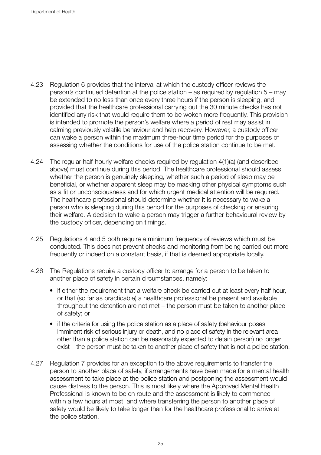- 4.23 Regulation 6 provides that the interval at which the custody officer reviews the person's continued detention at the police station – as required by regulation 5 – may be extended to no less than once every three hours if the person is sleeping, and provided that the healthcare professional carrying out the 30 minute checks has not identified any risk that would require them to be woken more frequently. This provision is intended to promote the person's welfare where a period of rest may assist in calming previously volatile behaviour and help recovery. However, a custody officer can wake a person within the maximum three-hour time period for the purposes of assessing whether the conditions for use of the police station continue to be met.
- 4.24 The regular half-hourly welfare checks required by regulation 4(1)(a) (and described above) must continue during this period. The healthcare professional should assess whether the person is genuinely sleeping, whether such a period of sleep may be beneficial, or whether apparent sleep may be masking other physical symptoms such as a fit or unconsciousness and for which urgent medical attention will be required. The healthcare professional should determine whether it is necessary to wake a person who is sleeping during this period for the purposes of checking or ensuring their welfare. A decision to wake a person may trigger a further behavioural review by the custody officer, depending on timings.
- 4.25 Regulations 4 and 5 both require a minimum frequency of reviews which must be conducted. This does not prevent checks and monitoring from being carried out more frequently or indeed on a constant basis, if that is deemed appropriate locally.
- 4.26 The Regulations require a custody officer to arrange for a person to be taken to another place of safety in certain circumstances, namely:
	- if either the requirement that a welfare check be carried out at least every half hour, or that (so far as practicable) a healthcare professional be present and available throughout the detention are not met – the person must be taken to another place of safety; or
	- if the criteria for using the police station as a place of safety (behaviour poses imminent risk of serious injury or death, and no place of safety in the relevant area other than a police station can be reasonably expected to detain person) no longer exist – the person must be taken to another place of safety that is not a police station.
- 4.27 Regulation 7 provides for an exception to the above requirements to transfer the person to another place of safety, if arrangements have been made for a mental health assessment to take place at the police station and postponing the assessment would cause distress to the person. This is most likely where the Approved Mental Health Professional is known to be en route and the assessment is likely to commence within a few hours at most, and where transferring the person to another place of safety would be likely to take longer than for the healthcare professional to arrive at the police station.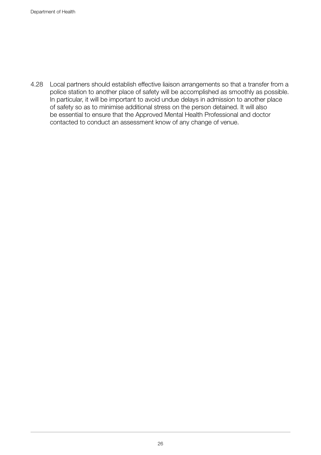4.28 Local partners should establish effective liaison arrangements so that a transfer from a police station to another place of safety will be accomplished as smoothly as possible. In particular, it will be important to avoid undue delays in admission to another place of safety so as to minimise additional stress on the person detained. It will also be essential to ensure that the Approved Mental Health Professional and doctor contacted to conduct an assessment know of any change of venue.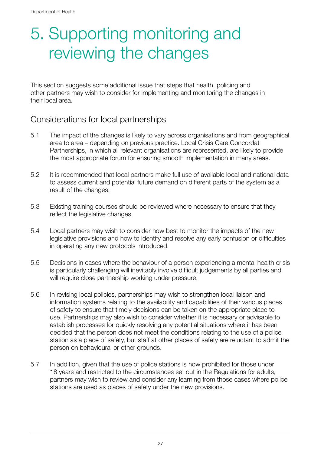## 5. Supporting monitoring and reviewing the changes

This section suggests some additional issue that steps that health, policing and other partners may wish to consider for implementing and monitoring the changes in their local area.

### Considerations for local partnerships

- 5.1 The impact of the changes is likely to vary across organisations and from geographical area to area – depending on previous practice. Local Crisis Care Concordat Partnerships, in which all relevant organisations are represented, are likely to provide the most appropriate forum for ensuring smooth implementation in many areas.
- 5.2 It is recommended that local partners make full use of available local and national data to assess current and potential future demand on different parts of the system as a result of the changes.
- 5.3 Existing training courses should be reviewed where necessary to ensure that they reflect the legislative changes.
- 5.4 Local partners may wish to consider how best to monitor the impacts of the new legislative provisions and how to identify and resolve any early confusion or difficulties in operating any new protocols introduced.
- 5.5 Decisions in cases where the behaviour of a person experiencing a mental health crisis is particularly challenging will inevitably involve difficult judgements by all parties and will require close partnership working under pressure.
- 5.6 In revising local policies, partnerships may wish to strengthen local liaison and information systems relating to the availability and capabilities of their various places of safety to ensure that timely decisions can be taken on the appropriate place to use. Partnerships may also wish to consider whether it is necessary or advisable to establish processes for quickly resolving any potential situations where it has been decided that the person does not meet the conditions relating to the use of a police station as a place of safety, but staff at other places of safety are reluctant to admit the person on behavioural or other grounds.
- 5.7 In addition, given that the use of police stations is now prohibited for those under 18 years and restricted to the circumstances set out in the Regulations for adults, partners may wish to review and consider any learning from those cases where police stations are used as places of safety under the new provisions.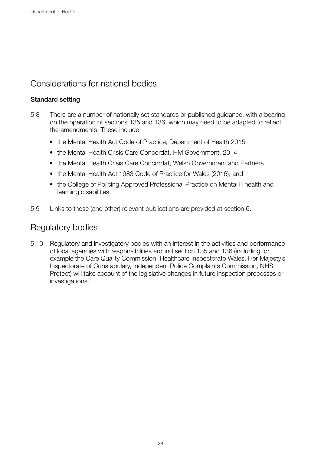### Considerations for national bodies

### Standard setting

- 5.8 There are a number of nationally set standards or published guidance, with a bearing on the operation of sections 135 and 136, which may need to be adapted to reflect the amendments. These include:
	- the Mental Health Act Code of Practice, Department of Health 2015
	- the Mental Health Crisis Care Concordat, HM Government, 2014
	- the Mental Health Crisis Care Concordat, Welsh Government and Partners
	- the Mental Health Act 1983 Code of Practice for Wales (2016); and
	- the College of Policing Approved Professional Practice on Mental ill health and learning disabilities.
- 5.9 Links to these (and other) relevant publications are provided at section 6.

### Regulatory bodies

5.10 Regulatory and investigatory bodies with an interest in the activities and performance of local agencies with responsibilities around section 135 and 136 (including for example the Care Quality Commission, Healthcare Inspectorate Wales, Her Majesty's Inspectorate of Constabulary, Independent Police Complaints Commission, NHS Protect) will take account of the legislative changes in future inspection processes or investigations.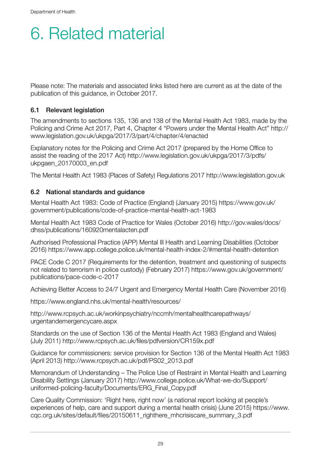## 6. Related material

Please note: The materials and associated links listed here are current as at the date of the publication of this guidance, in October 2017.

### 6.1 Relevant legislation

The amendments to sections 135, 136 and 138 of the Mental Health Act 1983, made by the Policing and Crime Act 2017, Part 4, Chapter 4 "Powers under the Mental Health Act" [http://](http://www.legislation.gov.uk/ukpga/2017/3/part/4/chapter/4/enacted) [www.legislation.gov.uk/ukpga/2017/3/part/4/chapter/4/enacted](http://www.legislation.gov.uk/ukpga/2017/3/part/4/chapter/4/enacted)

Explanatory notes for the Policing and Crime Act 2017 (prepared by the Home Office to assist the reading of the 2017 Act) [http://www.legislation.gov.uk/ukpga/2017/3/pdfs/](http://www.legislation.gov.uk/ukpga/2017/3/pdfs/ukpgaen_20170003_en.pdf) [ukpgaen\\_20170003\\_en.pdf](http://www.legislation.gov.uk/ukpga/2017/3/pdfs/ukpgaen_20170003_en.pdf)

The Mental Health Act 1983 (Places of Safety) Regulations 2017 <http://www.legislation.gov.uk>

### 6.2 National standards and guidance

Mental Health Act 1983: Code of Practice (England) (January 2015) [https://www.gov.uk/](https://www.gov.uk/government/publications/code-of-practice-mental-health-act-1983) [government/publications/code-of-practice-mental-health-act-1983](https://www.gov.uk/government/publications/code-of-practice-mental-health-act-1983)

Mental Health Act 1983 Code of Practice for Wales (October 2016) [http://gov.wales/docs/](http://gov.wales/docs/dhss/publications/160920mentalacten.pdf) [dhss/publications/160920mentalacten.pdf](http://gov.wales/docs/dhss/publications/160920mentalacten.pdf)

Authorised Professional Practice (APP) Mental Ill Health and Learning Disabilities (October 2016) <https://www.app.college.police.uk/mental-health-index-2/#mental-health-detention>

PACE Code C 2017 (Requirements for the detention, treatment and questioning of suspects not related to terrorism in police custody) (February 2017) [https://www.gov.uk/government/](https://www.gov.uk/government/publications/pace-code-c-2017) [publications/pace-code-c-2017](https://www.gov.uk/government/publications/pace-code-c-2017)

Achieving Better Access to 24/7 Urgent and Emergency Mental Health Care (November 2016)

<https://www.england.nhs.uk/mental-health/resources/>

[http://www.rcpsych.ac.uk/workinpsychiatry/nccmh/mentalhealthcarepathways/](http://www.rcpsych.ac.uk/workinpsychiatry/nccmh/mentalhealthcarepathways/urgentandemergencycare.aspx) [urgentandemergencycare.aspx](http://www.rcpsych.ac.uk/workinpsychiatry/nccmh/mentalhealthcarepathways/urgentandemergencycare.aspx)

Standards on the use of Section 136 of the Mental Health Act 1983 (England and Wales) (July 2011)<http://www.rcpsych.ac.uk/files/pdfversion/CR159x.pdf>

Guidance for commissioners: service provision for Section 136 of the Mental Health Act 1983 (April 2013) [http://www.rcpsych.ac.uk/pdf/PS02\\_2013.pdf](http://www.rcpsych.ac.uk/pdf/PS02_2013.pdf)

Memorandum of Understanding – The Police Use of Restraint in Mental Health and Learning Disability Settings (January 2017) [http://www.college.police.uk/What-we-do/Support/](http://www.college.police.uk/What-we-do/Support/uniformed-policing-faculty/Documents/ERG_Final_Copy.pdf) [uniformed-policing-faculty/Documents/ERG\\_Final\\_Copy.pdf](http://www.college.police.uk/What-we-do/Support/uniformed-policing-faculty/Documents/ERG_Final_Copy.pdf)

Care Quality Commission: 'Right here, right now' (a national report looking at people's experiences of help, care and support during a mental health crisis) (June 2015) [https://www.](https://www.cqc.org.uk/sites/default/files/20150611_righthere_mhcrisiscare_summary_3.pdf) [cqc.org.uk/sites/default/files/20150611\\_righthere\\_mhcrisiscare\\_summary\\_3.pdf](https://www.cqc.org.uk/sites/default/files/20150611_righthere_mhcrisiscare_summary_3.pdf)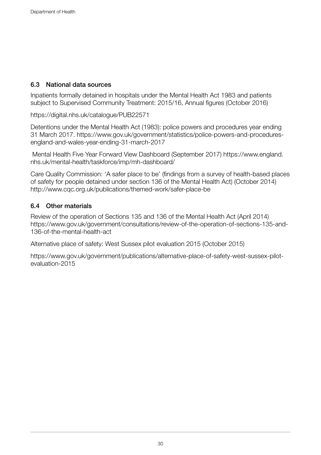### 6.3 National data sources

Inpatients formally detained in hospitals under the Mental Health Act 1983 and patients subject to Supervised Community Treatment: 2015/16, Annual figures (October 2016)

<https://digital.nhs.uk/catalogue/PUB22571>

Detentions under the Mental Health Act (1983): police powers and procedures year ending 31 March 2017. [https://www.gov.uk/government/statistics/police-powers-and-procedures](https://www.gov.uk/government/statistics/police-powers-and-procedures-england-and-wales-year-ending-31-march-2017)[england-and-wales-year-ending-31-march-2017](https://www.gov.uk/government/statistics/police-powers-and-procedures-england-and-wales-year-ending-31-march-2017)

 Mental Health Five Year Forward View Dashboard (September 2017) [https://www.england.](https://www.england.nhs.uk/mental-health/taskforce/imp/mh-dashboard/) [nhs.uk/mental-health/taskforce/imp/mh-dashboard/](https://www.england.nhs.uk/mental-health/taskforce/imp/mh-dashboard/)

Care Quality Commission: 'A safer place to be' (findings from a survey of health-based places of safety for people detained under section 136 of the Mental Health Act) (October 2014) <http://www.cqc.org.uk/publications/themed-work/safer-place-be>

### 6.4 Other materials

Review of the operation of Sections 135 and 136 of the Mental Health Act (April 2014) [https://www.gov.uk/government/consultations/review-of-the-operation-of-sections-135-and-](https://www.gov.uk/government/consultations/review-of-the-operation-of-sections-135-and-136-of-the-mental-health-act)[136-of-the-mental-health-act](https://www.gov.uk/government/consultations/review-of-the-operation-of-sections-135-and-136-of-the-mental-health-act)

Alternative place of safety: West Sussex pilot evaluation 2015 (October 2015)

[https://www.gov.uk/government/publications/alternative-place-of-safety-west-sussex-pilot](https://www.gov.uk/government/publications/alternative-place-of-safety-west-sussex-pilot-evaluation-2015)[evaluation-2015](https://www.gov.uk/government/publications/alternative-place-of-safety-west-sussex-pilot-evaluation-2015)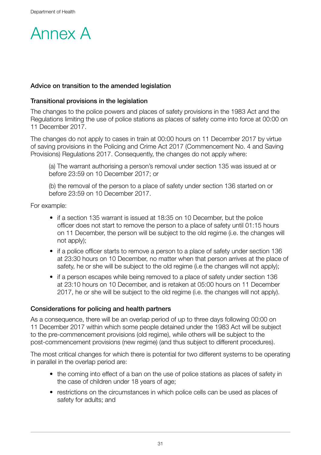

### Advice on transition to the amended legislation

### Transitional provisions in the legislation

The changes to the police powers and places of safety provisions in the 1983 Act and the Regulations limiting the use of police stations as places of safety come into force at 00:00 on 11 December 2017.

The changes do not apply to cases in train at 00:00 hours on 11 December 2017 by virtue of saving provisions in the Policing and Crime Act 2017 (Commencement No. 4 and Saving Provisions) Regulations 2017. Consequently, the changes do not apply where:

(a) The warrant authorising a person's removal under section 135 was issued at or before 23:59 on 10 December 2017; or

(b) the removal of the person to a place of safety under section 136 started on or before 23:59 on 10 December 2017.

For example:

- if a section 135 warrant is issued at 18:35 on 10 December, but the police officer does not start to remove the person to a place of safety until 01:15 hours on 11 December, the person will be subject to the old regime (i.e. the changes will not apply);
- if a police officer starts to remove a person to a place of safety under section 136 at 23:30 hours on 10 December, no matter when that person arrives at the place of safety, he or she will be subject to the old regime (i.e the changes will not apply);
- if a person escapes while being removed to a place of safety under section 136 at 23:10 hours on 10 December, and is retaken at 05:00 hours on 11 December 2017, he or she will be subject to the old regime (i.e. the changes will not apply).

### Considerations for policing and health partners

As a consequence, there will be an overlap period of up to three days following 00:00 on 11 December 2017 within which some people detained under the 1983 Act will be subject to the pre-commencement provisions (old regime), while others will be subject to the post-commencement provisions (new regime) (and thus subject to different procedures).

The most critical changes for which there is potential for two different systems to be operating in parallel in the overlap period are:

- the coming into effect of a ban on the use of police stations as places of safety in the case of children under 18 years of age;
- restrictions on the circumstances in which police cells can be used as places of safety for adults; and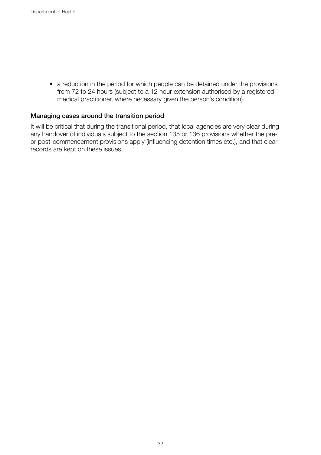• a reduction in the period for which people can be detained under the provisions from 72 to 24 hours (subject to a 12 hour extension authorised by a registered medical practitioner, where necessary given the person's condition).

### Managing cases around the transition period

It will be critical that during the transitional period, that local agencies are very clear during any handover of individuals subject to the section 135 or 136 provisions whether the preor post-commencement provisions apply (influencing detention times etc.), and that clear records are kept on these issues.